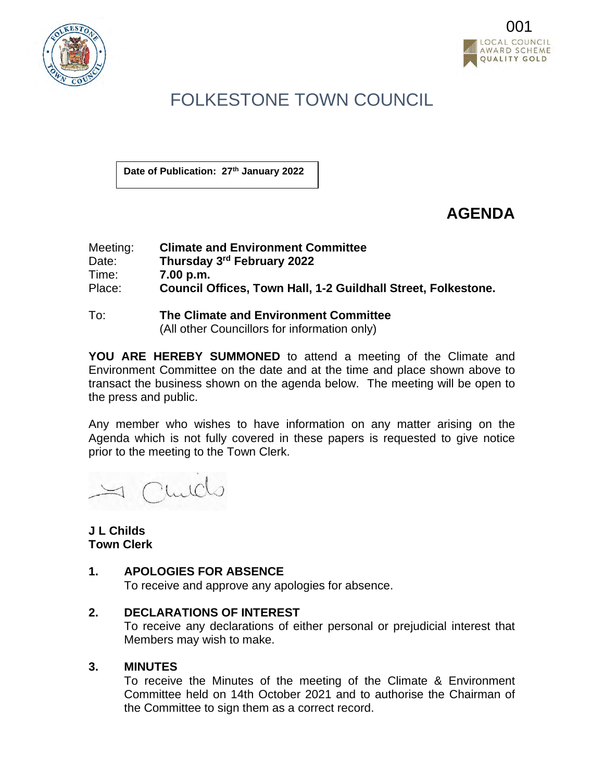



## FOLKESTONE TOWN COUNCIL

**Date of Publication: 27th January 2022**

## **AGENDA**

| Meeting: | <b>Climate and Environment Committee</b>                      |
|----------|---------------------------------------------------------------|
| Date:    | Thursday 3rd February 2022                                    |
| Time:    | 7.00 p.m.                                                     |
| Place:   | Council Offices, Town Hall, 1-2 Guildhall Street, Folkestone. |

To: **The Climate and Environment Committee** (All other Councillors for information only)

**YOU ARE HEREBY SUMMONED** to attend a meeting of the Climate and Environment Committee on the date and at the time and place shown above to transact the business shown on the agenda below. The meeting will be open to the press and public.

Any member who wishes to have information on any matter arising on the Agenda which is not fully covered in these papers is requested to give notice prior to the meeting to the Town Clerk.

1 Childs

## **J L Childs Town Clerk**

## **1. APOLOGIES FOR ABSENCE**

To receive and approve any apologies for absence.

## **2. DECLARATIONS OF INTEREST**

To receive any declarations of either personal or prejudicial interest that Members may wish to make.

## **3. MINUTES**

To receive the Minutes of the meeting of the Climate & Environment Committee held on 14th October 2021 and to authorise the Chairman of the Committee to sign them as a correct record.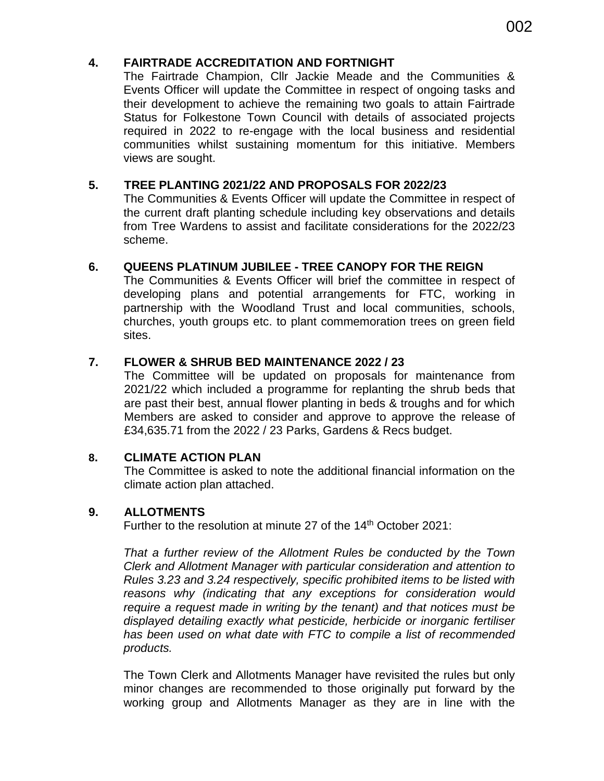## **4. FAIRTRADE ACCREDITATION AND FORTNIGHT**

The Fairtrade Champion, Cllr Jackie Meade and the Communities & Events Officer will update the Committee in respect of ongoing tasks and their development to achieve the remaining two goals to attain Fairtrade Status for Folkestone Town Council with details of associated projects required in 2022 to re-engage with the local business and residential communities whilst sustaining momentum for this initiative. Members views are sought.

## **5. TREE PLANTING 2021/22 AND PROPOSALS FOR 2022/23**

The Communities & Events Officer will update the Committee in respect of the current draft planting schedule including key observations and details from Tree Wardens to assist and facilitate considerations for the 2022/23 scheme.

## **6. QUEENS PLATINUM JUBILEE - TREE CANOPY FOR THE REIGN**

The Communities & Events Officer will brief the committee in respect of developing plans and potential arrangements for FTC, working in partnership with the Woodland Trust and local communities, schools, churches, youth groups etc. to plant commemoration trees on green field sites.

## **7. FLOWER & SHRUB BED MAINTENANCE 2022 / 23**

The Committee will be updated on proposals for maintenance from 2021/22 which included a programme for replanting the shrub beds that are past their best, annual flower planting in beds & troughs and for which Members are asked to consider and approve to approve the release of £34,635.71 from the 2022 / 23 Parks, Gardens & Recs budget.

## **8. CLIMATE ACTION PLAN**

The Committee is asked to note the additional financial information on the climate action plan attached.

## **9. ALLOTMENTS**

Further to the resolution at minute 27 of the 14<sup>th</sup> October 2021:

*That a further review of the Allotment Rules be conducted by the Town Clerk and Allotment Manager with particular consideration and attention to Rules 3.23 and 3.24 respectively, specific prohibited items to be listed with reasons why (indicating that any exceptions for consideration would require a request made in writing by the tenant) and that notices must be displayed detailing exactly what pesticide, herbicide or inorganic fertiliser has been used on what date with FTC to compile a list of recommended products.*

The Town Clerk and Allotments Manager have revisited the rules but only minor changes are recommended to those originally put forward by the working group and Allotments Manager as they are in line with the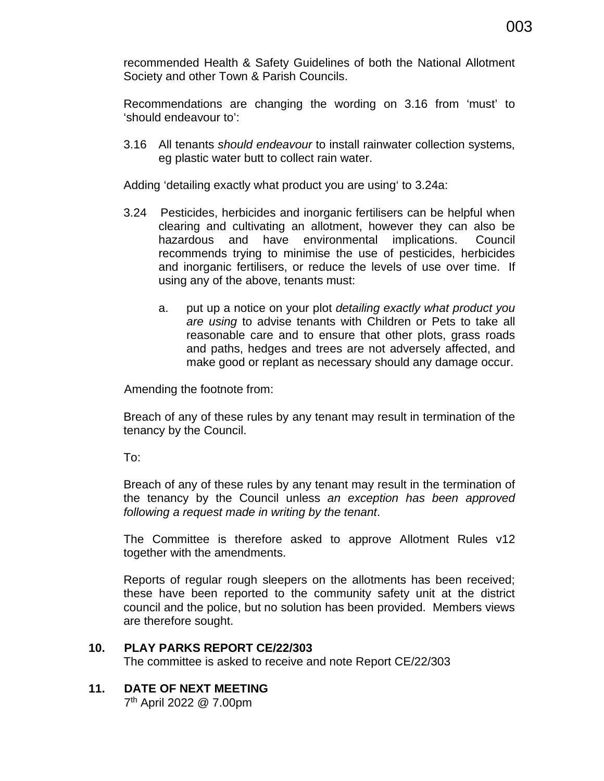recommended Health & Safety Guidelines of both the National Allotment Society and other Town & Parish Councils.

Recommendations are changing the wording on 3.16 from 'must' to 'should endeavour to':

3.16 All tenants *should endeavour* to install rainwater collection systems, eg plastic water butt to collect rain water.

Adding 'detailing exactly what product you are using' to 3.24a:

- 3.24 Pesticides, herbicides and inorganic fertilisers can be helpful when clearing and cultivating an allotment, however they can also be hazardous and have environmental implications. Council recommends trying to minimise the use of pesticides, herbicides and inorganic fertilisers, or reduce the levels of use over time. If using any of the above, tenants must:
	- a. put up a notice on your plot *detailing exactly what product you are using* to advise tenants with Children or Pets to take all reasonable care and to ensure that other plots, grass roads and paths, hedges and trees are not adversely affected, and make good or replant as necessary should any damage occur.

Amending the footnote from:

Breach of any of these rules by any tenant may result in termination of the tenancy by the Council.

To:

Breach of any of these rules by any tenant may result in the termination of the tenancy by the Council unless *an exception has been approved following a request made in writing by the tenant*.

The Committee is therefore asked to approve Allotment Rules v12 together with the amendments.

 Reports of regular rough sleepers on the allotments has been received; these have been reported to the community safety unit at the district council and the police, but no solution has been provided. Members views are therefore sought.

## **10. PLAY PARKS REPORT CE/22/303**

The committee is asked to receive and note Report CE/22/303

## **11. DATE OF NEXT MEETING**

7th April 2022 @ 7.00pm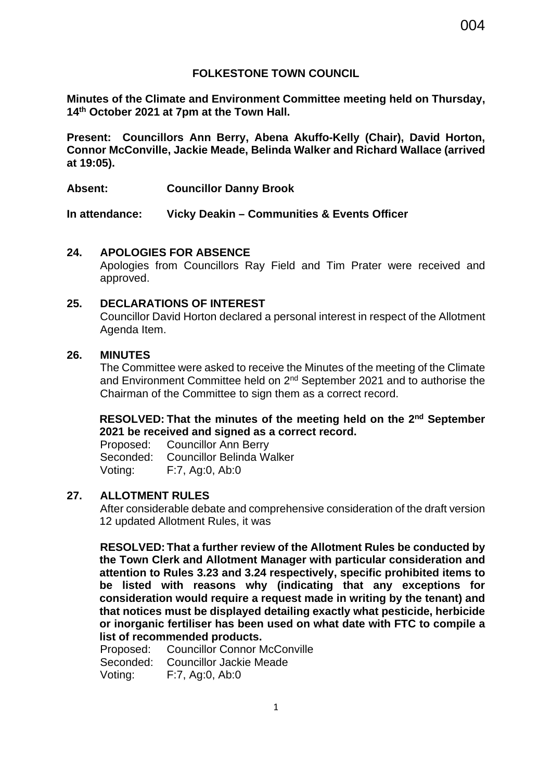## **FOLKESTONE TOWN COUNCIL**

**Minutes of the Climate and Environment Committee meeting held on Thursday, 14th October 2021 at 7pm at the Town Hall.** 

**Present: Councillors Ann Berry, Abena Akuffo-Kelly (Chair), David Horton, Connor McConville, Jackie Meade, Belinda Walker and Richard Wallace (arrived at 19:05).** 

**Absent: Councillor Danny Brook** 

**In attendance: Vicky Deakin – Communities & Events Officer** 

## **24. APOLOGIES FOR ABSENCE**

Apologies from Councillors Ray Field and Tim Prater were received and approved.

## **25. DECLARATIONS OF INTEREST**

Councillor David Horton declared a personal interest in respect of the Allotment Agenda Item.

## **26. MINUTES**

The Committee were asked to receive the Minutes of the meeting of the Climate and Environment Committee held on  $2^{nd}$  September 2021 and to authorise the Chairman of the Committee to sign them as a correct record.

## **RESOLVED: That the minutes of the meeting held on the 2nd September 2021 be received and signed as a correct record.**

Proposed: Councillor Ann Berry Seconded: Councillor Belinda Walker Voting: F:7, Ag:0, Ab:0

## **27. ALLOTMENT RULES**

After considerable debate and comprehensive consideration of the draft version 12 updated Allotment Rules, it was

**RESOLVED: That a further review of the Allotment Rules be conducted by the Town Clerk and Allotment Manager with particular consideration and attention to Rules 3.23 and 3.24 respectively, specific prohibited items to be listed with reasons why (indicating that any exceptions for consideration would require a request made in writing by the tenant) and that notices must be displayed detailing exactly what pesticide, herbicide or inorganic fertiliser has been used on what date with FTC to compile a list of recommended products.**

Proposed: Councillor Connor McConville Seconded: Councillor Jackie Meade Voting: F:7, Ag:0, Ab:0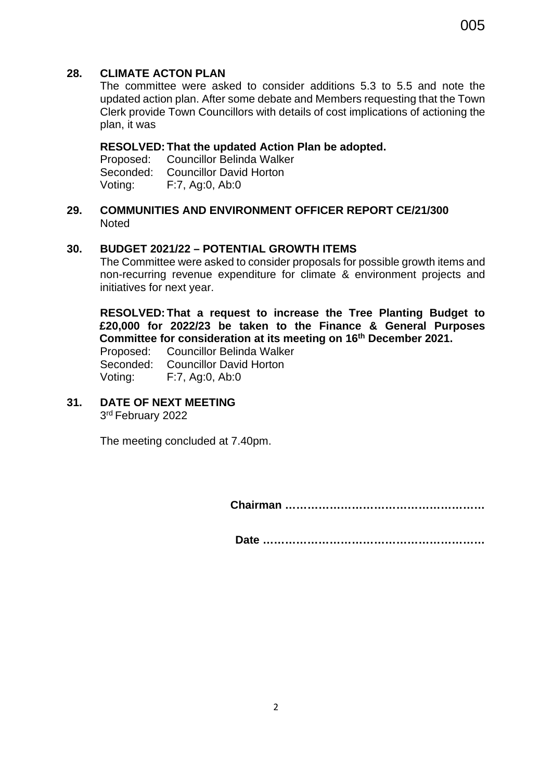## **28. CLIMATE ACTON PLAN**

The committee were asked to consider additions 5.3 to 5.5 and note the updated action plan. After some debate and Members requesting that the Town Clerk provide Town Councillors with details of cost implications of actioning the plan, it was

## **RESOLVED: That the updated Action Plan be adopted.**

Proposed: Councillor Belinda Walker Seconded: Councillor David Horton Voting: F:7, Ag:0, Ab:0

**29. COMMUNITIES AND ENVIRONMENT OFFICER REPORT CE/21/300 Noted** 

## **30. BUDGET 2021/22 – POTENTIAL GROWTH ITEMS**

The Committee were asked to consider proposals for possible growth items and non-recurring revenue expenditure for climate & environment projects and initiatives for next year.

**RESOLVED: That a request to increase the Tree Planting Budget to £20,000 for 2022/23 be taken to the Finance & General Purposes Committee for consideration at its meeting on 16th December 2021.**

Proposed: Councillor Belinda Walker Seconded: Councillor David Horton Voting: F:7, Ag:0, Ab:0

**31. DATE OF NEXT MEETING** 3rd February 2022

The meeting concluded at 7.40pm.

 **Chairman ………………………………………………** 

**Date ……………………………………………………**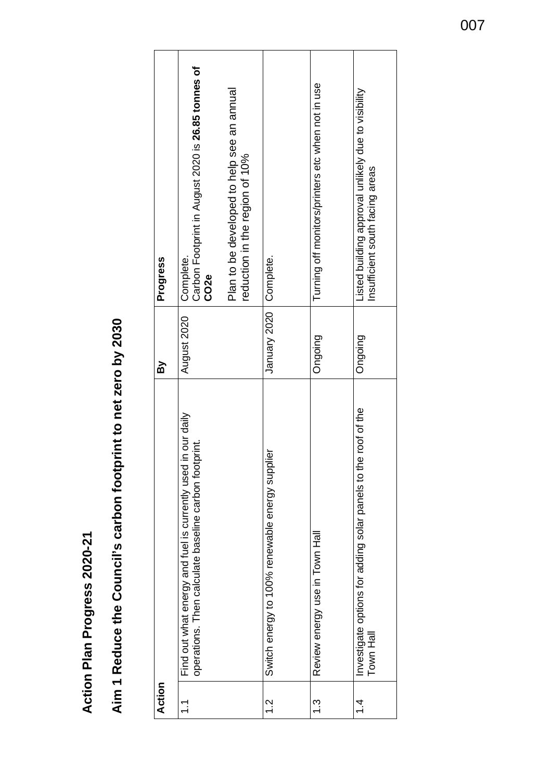**Action Plan Progress 2020-21**  Action Plan Progress 2020-21

## Aim 1 Reduce the Council's carbon footprint to net zero by 2030 **Aim 1 Reduce the Council's carbon footprint to net zero by 2030**

| Action        |                                                                                                                          | ΔÀ           | Progress                                                                               |
|---------------|--------------------------------------------------------------------------------------------------------------------------|--------------|----------------------------------------------------------------------------------------|
| こ             | in our daily<br>operations. Then calculate baseline carbon footprint.<br>Find out what energy and fuel is currently used | August 2020  | Carbon Footprint in August 2020 is 26.85 tonnes of<br>Complete.<br>CO <sub>2e</sub>    |
|               |                                                                                                                          |              | Plan to be developed to help see an annual<br>reduction in the region of 10%           |
| $\frac{2}{1}$ | Switch energy to 100% renewable energy supplier                                                                          | January 2020 | Complete.                                                                              |
| ب<br>ب        | Review energy use in Town Hall                                                                                           | Ongoing      | Turning off monitors/printers etc when not in use                                      |
| 4.            | e roof of the<br>Investigate options for adding solar panels to th<br>Town Hall                                          | Ongoing      | Listed building approval unlikely due to visibility<br>Insufficient south facing areas |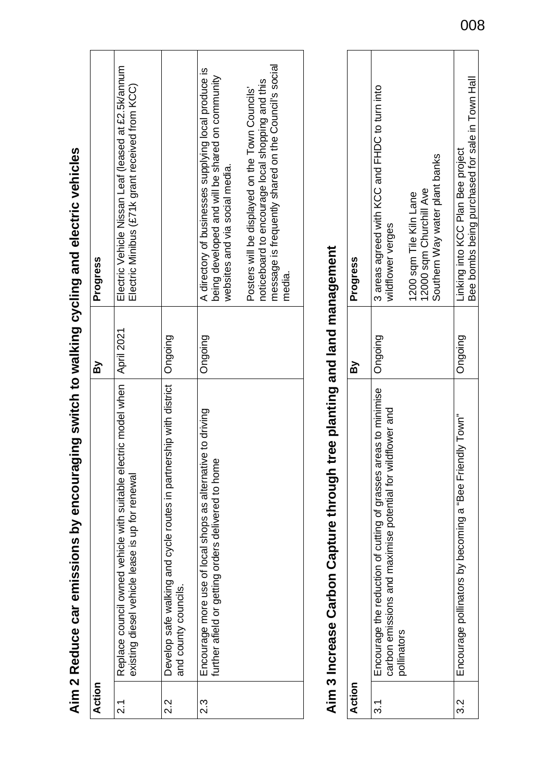# Aim 3 Increase Carbon Capture through tree planting and land management **Aim 3 Increase Carbon Capture through tree planting and land management**

| Action   |                                                                                                                                                 | <u>ፍ</u> | Progress                                                           |
|----------|-------------------------------------------------------------------------------------------------------------------------------------------------|----------|--------------------------------------------------------------------|
|          | areas to minimise<br>carbon emissions and maximise potential for wildflower and<br>Encourage the reduction of cutting of grasses<br>pollinators | Ongoing  | 3 areas agreed with KCC and FHDC to turn into<br>wildflower verges |
|          |                                                                                                                                                 |          | 12000 sqm Churchill Ave<br>1200 sqm Tile Kiln Lane                 |
|          |                                                                                                                                                 |          | Southern Way water plant banks                                     |
| <u>ડ</u> | Encourage pollinators by becoming a "Bee Friendly Town"                                                                                         | Ongoing  | Linking into KCC Plan Bee project                                  |
|          |                                                                                                                                                 |          | Bee bombs being purchased for sale in Town Hall                    |

# Aim 2 Reduce car emissions by encouraging switch to walking cycling and electric vehicles **Aim 2 Reduce car emissions by encouraging switch to walking cycling and electric vehicles**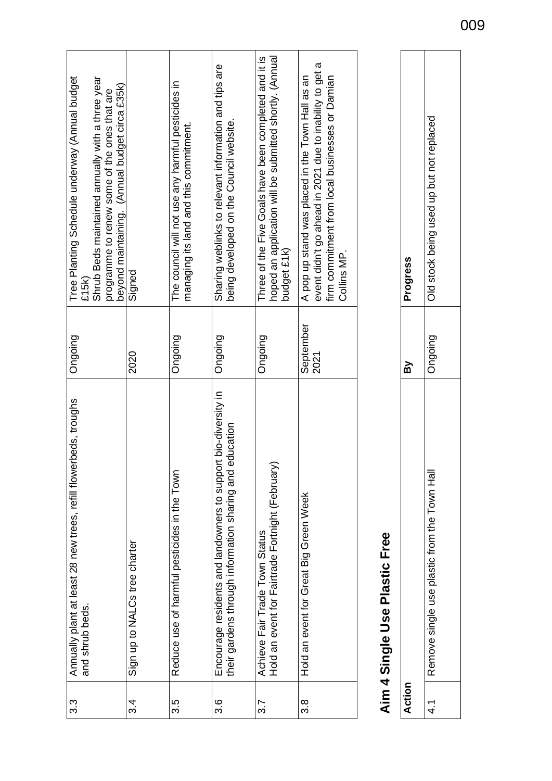| Tree Planting Schedule underway (Annual budget<br>Shrub Beds maintained annually with a three year<br>beyond maintaining. (Annual budget circa £35k)<br>programme to renew some of the ones that are<br>£15k | Signed                        | The council will not use any harmful pesticides in<br>managing its land and this commitment. | Sharing weblinks to relevant information and tips are<br>being developed on the Council website.                               | hoped an application will be submitted shortly. (Annual<br>Three of the Five Goals have been completed and it is<br>budget £1k) | event didn't go ahead in 2021 due to inability to get a<br>A pop up stand was placed in the Town Hall as an<br>firm commitment from local businesses or Damian<br>Collins MP. |
|--------------------------------------------------------------------------------------------------------------------------------------------------------------------------------------------------------------|-------------------------------|----------------------------------------------------------------------------------------------|--------------------------------------------------------------------------------------------------------------------------------|---------------------------------------------------------------------------------------------------------------------------------|-------------------------------------------------------------------------------------------------------------------------------------------------------------------------------|
| Ongoing                                                                                                                                                                                                      | 2020                          | Ongoing                                                                                      | Ongoing                                                                                                                        | Ongoing                                                                                                                         | September<br>2021                                                                                                                                                             |
| Annually plant at least 28 new trees, refill flowerbeds, troughs<br>and shrub beds.                                                                                                                          | Sign up to NALCs tree charter | Reduce use of harmful pesticides in the Town                                                 | rt bio-diversity in<br>their gardens through information sharing and education<br>Encourage residents and landowners to suppor | Hold an event for Fairtrade Fortnight (February)<br>Achieve Fair Trade Town Status                                              | Hold an event for Great Big Green Week                                                                                                                                        |
| $3.\overline{3}$                                                                                                                                                                                             | 3.4                           | 3.5                                                                                          | 3.6                                                                                                                            | 3.7                                                                                                                             | 3.8                                                                                                                                                                           |

## Aim 4 Single Use Plastic Free **Aim 4 Single Use Plastic Free**

|                                                | <u>ัก</u> | Progress                                 |
|------------------------------------------------|-----------|------------------------------------------|
| 흕<br>Remove single use plastic from the Town F | puiopu    | Old stock being used up but not replaced |
|                                                |           |                                          |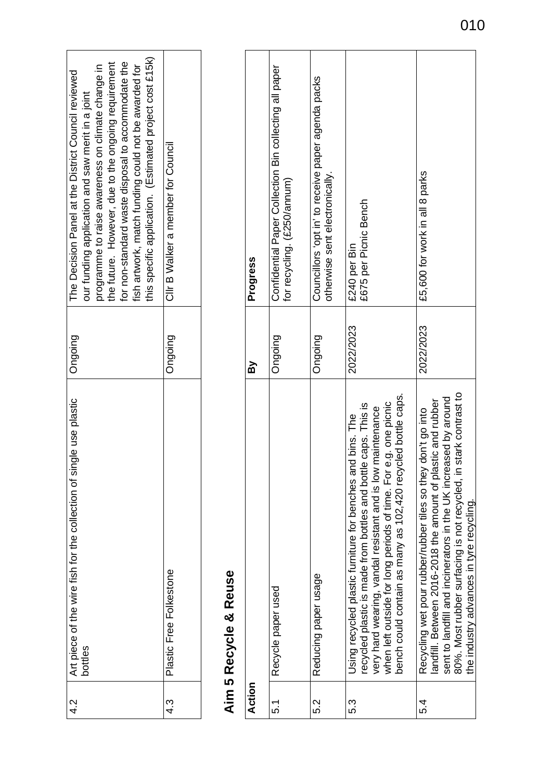| this specific application. (Estimated project cost £15k)<br>for non-standard waste disposal to accommodate the<br>the future. However, due to the ongoing requirement<br>fish artwork, match funding could not be awarded for<br>programme to raise awareness on climate change in<br>The Decision Panel at the District Council reviewed<br>our funding application and saw merit in a joint | Clir B Walker a member for Council |
|-----------------------------------------------------------------------------------------------------------------------------------------------------------------------------------------------------------------------------------------------------------------------------------------------------------------------------------------------------------------------------------------------|------------------------------------|
| Ongoing                                                                                                                                                                                                                                                                                                                                                                                       | Ongoing                            |
| Art piece of the wire fish for the collection of single use plastic<br>bottles                                                                                                                                                                                                                                                                                                                | Plastic Free Folkestone            |
| 4.2                                                                                                                                                                                                                                                                                                                                                                                           | 43<br>4                            |

## Aim 5 Recycle & Reuse **Aim 5 Recycle & Reuse**

| Action |                                                                                                                                                                                                                                                                                                                               | ត្ត       | Progress                                                                              |
|--------|-------------------------------------------------------------------------------------------------------------------------------------------------------------------------------------------------------------------------------------------------------------------------------------------------------------------------------|-----------|---------------------------------------------------------------------------------------|
| 5.1    | Recycle paper used                                                                                                                                                                                                                                                                                                            | Ongoing   | Confidential Paper Collection Bin collecting all paper<br>for recycling. (£250/annum) |
| 52     | Reducing paper usage                                                                                                                                                                                                                                                                                                          | Ongoing   | Councillors 'opt in' to receive paper agenda packs<br>otherwise sent electronically.  |
| S.S    | bench could contain as many as 102,420 recycled bottle caps.<br>when left outside for long periods of time. For e.g. one picnic<br>recycled plastic is made from bottles and bottle caps. This is<br>very hard wearing, vandal resistant and is low maintenance<br>Using recycled plastic furniture for benches and bins. The | 2022/2023 | £675 per Picnic Bench<br>£240 per Bin                                                 |
| 54     | 80%. Most rubber surfacing is not recycled, in stark contrast to<br>sent to landfill and incinerators in the UK increased by around<br>landfill. Between 2016-2018 the amount of plastic and rubber<br>Recycling wet pour rubber/rubber tiles so they don't go into<br>the industry advances in tyre recycling.               | 2022/2023 | £5,600 for work in all 8 parks                                                        |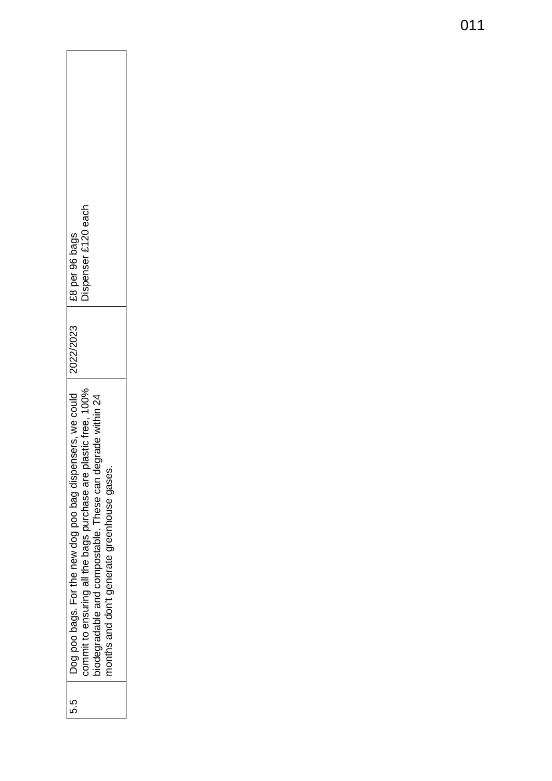| Dispenser £120 each<br>1 £8 per 96 bags<br>2022/2023<br>Dog poo bags. For the new dog poo bag dispensers, we could<br>commit to ensuring all the bags purchase are plastic free, 100%<br>biodegradable and compostable. These can degrade within 24 |
|-----------------------------------------------------------------------------------------------------------------------------------------------------------------------------------------------------------------------------------------------------|
|                                                                                                                                                                                                                                                     |
| months and don't generate greenhouse gases.                                                                                                                                                                                                         |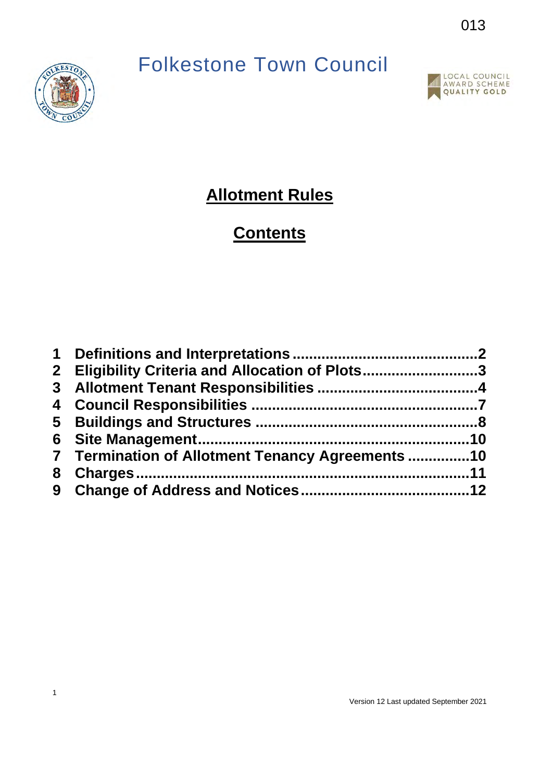## Folkestone Town Council





## **Allotment Rules**

## **Contents**

| 2 Eligibility Criteria and Allocation of Plots3  |  |
|--------------------------------------------------|--|
|                                                  |  |
|                                                  |  |
|                                                  |  |
|                                                  |  |
| 7 Termination of Allotment Tenancy Agreements 10 |  |
|                                                  |  |
|                                                  |  |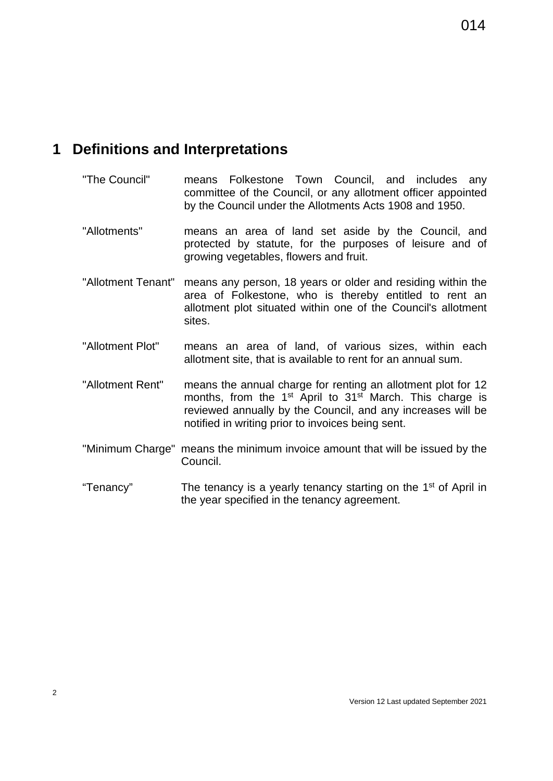## <span id="page-13-0"></span>**1 Definitions and Interpretations**

- "The Council" means Folkestone Town Council, and includes any committee of the Council, or any allotment officer appointed by the Council under the Allotments Acts 1908 and 1950.
- "Allotments" means an area of land set aside by the Council, and protected by statute, for the purposes of leisure and of growing vegetables, flowers and fruit.
- "Allotment Tenant" means any person, 18 years or older and residing within the area of Folkestone, who is thereby entitled to rent an allotment plot situated within one of the Council's allotment sites.
- "Allotment Plot" means an area of land, of various sizes, within each allotment site, that is available to rent for an annual sum.
- "Allotment Rent" means the annual charge for renting an allotment plot for 12 months, from the  $1<sup>st</sup>$  April to  $31<sup>st</sup>$  March. This charge is reviewed annually by the Council, and any increases will be notified in writing prior to invoices being sent.
- "Minimum Charge" means the minimum invoice amount that will be issued by the Council.
- "Tenancy" The tenancy is a yearly tenancy starting on the 1<sup>st</sup> of April in the year specified in the tenancy agreement.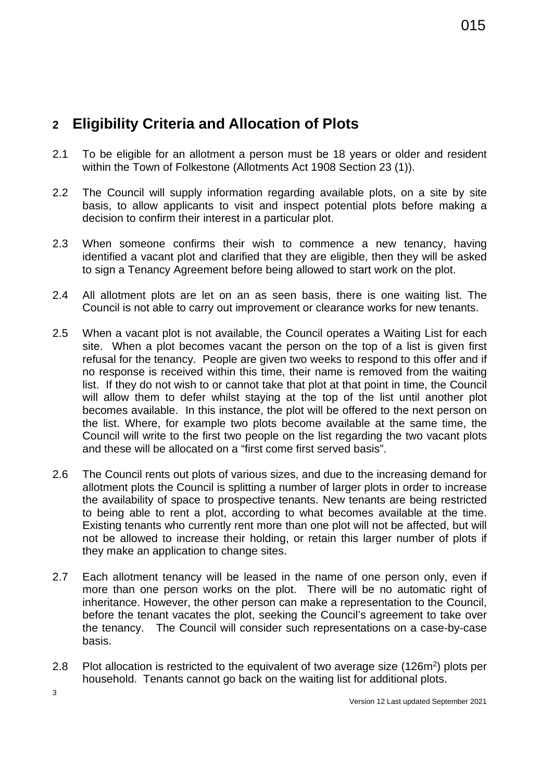## <span id="page-14-0"></span>**2 Eligibility Criteria and Allocation of Plots**

- 2.1 To be eligible for an allotment a person must be 18 years or older and resident within the Town of Folkestone (Allotments Act 1908 Section 23 (1)).
- 2.2 The Council will supply information regarding available plots, on a site by site basis, to allow applicants to visit and inspect potential plots before making a decision to confirm their interest in a particular plot.
- 2.3 When someone confirms their wish to commence a new tenancy, having identified a vacant plot and clarified that they are eligible, then they will be asked to sign a Tenancy Agreement before being allowed to start work on the plot.
- 2.4 All allotment plots are let on an as seen basis, there is one waiting list. The Council is not able to carry out improvement or clearance works for new tenants.
- 2.5 When a vacant plot is not available, the Council operates a Waiting List for each site. When a plot becomes vacant the person on the top of a list is given first refusal for the tenancy. People are given two weeks to respond to this offer and if no response is received within this time, their name is removed from the waiting list. If they do not wish to or cannot take that plot at that point in time, the Council will allow them to defer whilst staying at the top of the list until another plot becomes available. In this instance, the plot will be offered to the next person on the list. Where, for example two plots become available at the same time, the Council will write to the first two people on the list regarding the two vacant plots and these will be allocated on a "first come first served basis".
- 2.6 The Council rents out plots of various sizes, and due to the increasing demand for allotment plots the Council is splitting a number of larger plots in order to increase the availability of space to prospective tenants. New tenants are being restricted to being able to rent a plot, according to what becomes available at the time. Existing tenants who currently rent more than one plot will not be affected, but will not be allowed to increase their holding, or retain this larger number of plots if they make an application to change sites.
- 2.7 Each allotment tenancy will be leased in the name of one person only, even if more than one person works on the plot. There will be no automatic right of inheritance. However, the other person can make a representation to the Council, before the tenant vacates the plot, seeking the Council's agreement to take over the tenancy. The Council will consider such representations on a case-by-case basis.
- 2.8 Plot allocation is restricted to the equivalent of two average size (126m<sup>2</sup>) plots per household. Tenants cannot go back on the waiting list for additional plots.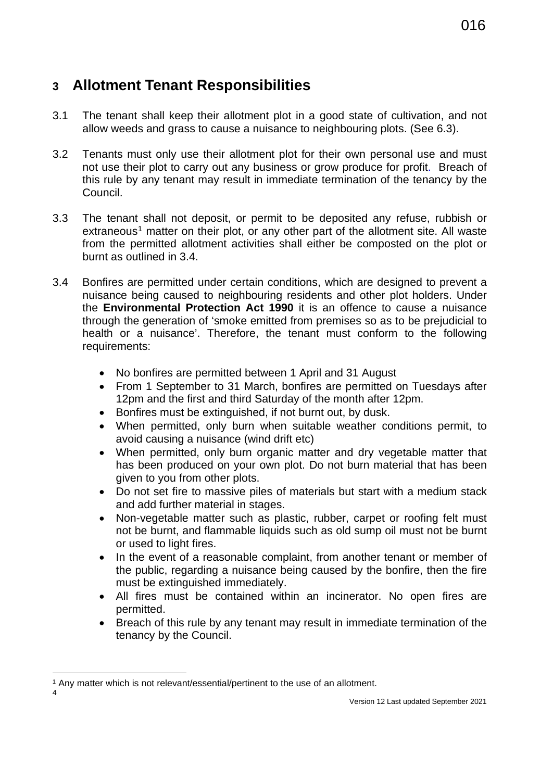## <span id="page-15-0"></span>**3 Allotment Tenant Responsibilities**

- 3.1 The tenant shall keep their allotment plot in a good state of cultivation, and not allow weeds and grass to cause a nuisance to neighbouring plots. (See 6.3).
- 3.2 Tenants must only use their allotment plot for their own personal use and must not use their plot to carry out any business or grow produce for profit. Breach of this rule by any tenant may result in immediate termination of the tenancy by the Council.
- 3.3 The tenant shall not deposit, or permit to be deposited any refuse, rubbish or  $extraneous<sup>1</sup>$  $extraneous<sup>1</sup>$  $extraneous<sup>1</sup>$  matter on their plot, or any other part of the allotment site. All waste from the permitted allotment activities shall either be composted on the plot or burnt as outlined in 3.4.
- 3.4 Bonfires are permitted under certain conditions, which are designed to prevent a nuisance being caused to neighbouring residents and other plot holders. Under the **Environmental Protection Act 1990** it is an offence to cause a nuisance through the generation of 'smoke emitted from premises so as to be prejudicial to health or a nuisance'. Therefore, the tenant must conform to the following requirements:
	- No bonfires are permitted between 1 April and 31 August
	- From 1 September to 31 March, bonfires are permitted on Tuesdays after 12pm and the first and third Saturday of the month after 12pm.
	- Bonfires must be extinguished, if not burnt out, by dusk.
	- When permitted, only burn when suitable weather conditions permit, to avoid causing a nuisance (wind drift etc)
	- When permitted, only burn organic matter and dry vegetable matter that has been produced on your own plot. Do not burn material that has been given to you from other plots.
	- Do not set fire to massive piles of materials but start with a medium stack and add further material in stages.
	- Non-vegetable matter such as plastic, rubber, carpet or roofing felt must not be burnt, and flammable liquids such as old sump oil must not be burnt or used to light fires.
	- In the event of a reasonable complaint, from another tenant or member of the public, regarding a nuisance being caused by the bonfire, then the fire must be extinguished immediately.
	- All fires must be contained within an incinerator. No open fires are permitted.
	- Breach of this rule by any tenant may result in immediate termination of the tenancy by the Council.

<span id="page-15-1"></span>4

<sup>&</sup>lt;sup>1</sup> Any matter which is not relevant/essential/pertinent to the use of an allotment.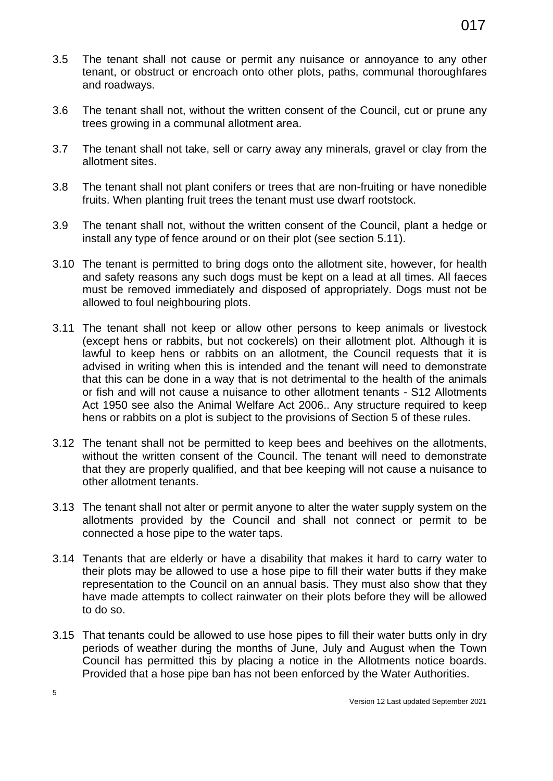- 3.5 The tenant shall not cause or permit any nuisance or annoyance to any other tenant, or obstruct or encroach onto other plots, paths, communal thoroughfares and roadways.
- 3.6 The tenant shall not, without the written consent of the Council, cut or prune any trees growing in a communal allotment area.
- 3.7 The tenant shall not take, sell or carry away any minerals, gravel or clay from the allotment sites.
- 3.8 The tenant shall not plant conifers or trees that are non-fruiting or have nonedible fruits. When planting fruit trees the tenant must use dwarf rootstock.
- 3.9 The tenant shall not, without the written consent of the Council, plant a hedge or install any type of fence around or on their plot (see section 5.11).
- 3.10 The tenant is permitted to bring dogs onto the allotment site, however, for health and safety reasons any such dogs must be kept on a lead at all times. All faeces must be removed immediately and disposed of appropriately. Dogs must not be allowed to foul neighbouring plots.
- 3.11 The tenant shall not keep or allow other persons to keep animals or livestock (except hens or rabbits, but not cockerels) on their allotment plot. Although it is lawful to keep hens or rabbits on an allotment, the Council requests that it is advised in writing when this is intended and the tenant will need to demonstrate that this can be done in a way that is not detrimental to the health of the animals or fish and will not cause a nuisance to other allotment tenants - S12 Allotments Act 1950 see also the Animal Welfare Act 2006.. Any structure required to keep hens or rabbits on a plot is subject to the provisions of Section 5 of these rules.
- 3.12 The tenant shall not be permitted to keep bees and beehives on the allotments, without the written consent of the Council. The tenant will need to demonstrate that they are properly qualified, and that bee keeping will not cause a nuisance to other allotment tenants.
- 3.13 The tenant shall not alter or permit anyone to alter the water supply system on the allotments provided by the Council and shall not connect or permit to be connected a hose pipe to the water taps.
- 3.14 Tenants that are elderly or have a disability that makes it hard to carry water to their plots may be allowed to use a hose pipe to fill their water butts if they make representation to the Council on an annual basis. They must also show that they have made attempts to collect rainwater on their plots before they will be allowed to do so.
- 3.15 That tenants could be allowed to use hose pipes to fill their water butts only in dry periods of weather during the months of June, July and August when the Town Council has permitted this by placing a notice in the Allotments notice boards. Provided that a hose pipe ban has not been enforced by the Water Authorities.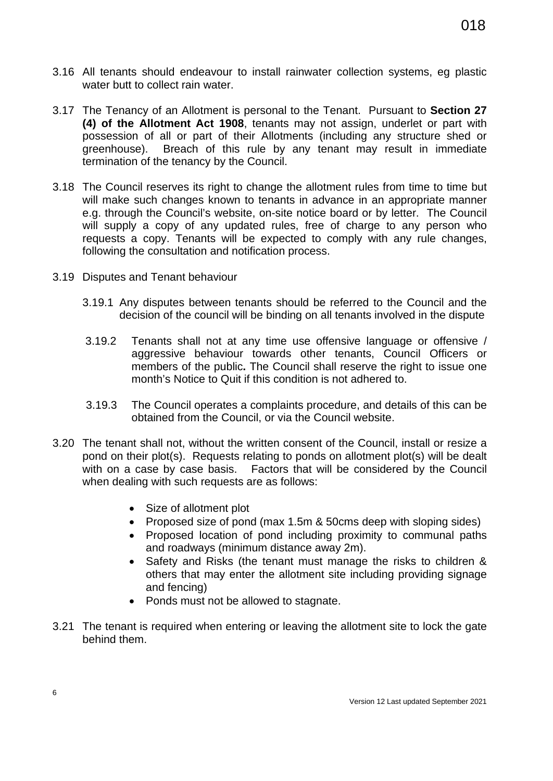- 3.16 All tenants should endeavour to install rainwater collection systems, eg plastic water butt to collect rain water.
- 3.17 The Tenancy of an Allotment is personal to the Tenant. Pursuant to **Section 27 (4) of the Allotment Act 1908**, tenants may not assign, underlet or part with possession of all or part of their Allotments (including any structure shed or greenhouse). Breach of this rule by any tenant may result in immediate termination of the tenancy by the Council.
- 3.18 The Council reserves its right to change the allotment rules from time to time but will make such changes known to tenants in advance in an appropriate manner e.g. through the Council's website, on-site notice board or by letter. The Council will supply a copy of any updated rules, free of charge to any person who requests a copy. Tenants will be expected to comply with any rule changes, following the consultation and notification process.
- 3.19 Disputes and Tenant behaviour
	- 3.19.1 Any disputes between tenants should be referred to the Council and the decision of the council will be binding on all tenants involved in the dispute
	- 3.19.2 Tenants shall not at any time use offensive language or offensive / aggressive behaviour towards other tenants, Council Officers or members of the public**.** The Council shall reserve the right to issue one month's Notice to Quit if this condition is not adhered to.
	- 3.19.3 The Council operates a complaints procedure, and details of this can be obtained from the Council, or via the Council website.
- 3.20 The tenant shall not, without the written consent of the Council, install or resize a pond on their plot(s). Requests relating to ponds on allotment plot(s) will be dealt with on a case by case basis. Factors that will be considered by the Council when dealing with such requests are as follows:
	- Size of allotment plot
	- Proposed size of pond (max 1.5m & 50cms deep with sloping sides)
	- Proposed location of pond including proximity to communal paths and roadways (minimum distance away 2m).
	- Safety and Risks (the tenant must manage the risks to children & others that may enter the allotment site including providing signage and fencing)
	- Ponds must not be allowed to stagnate.
- 3.21 The tenant is required when entering or leaving the allotment site to lock the gate behind them.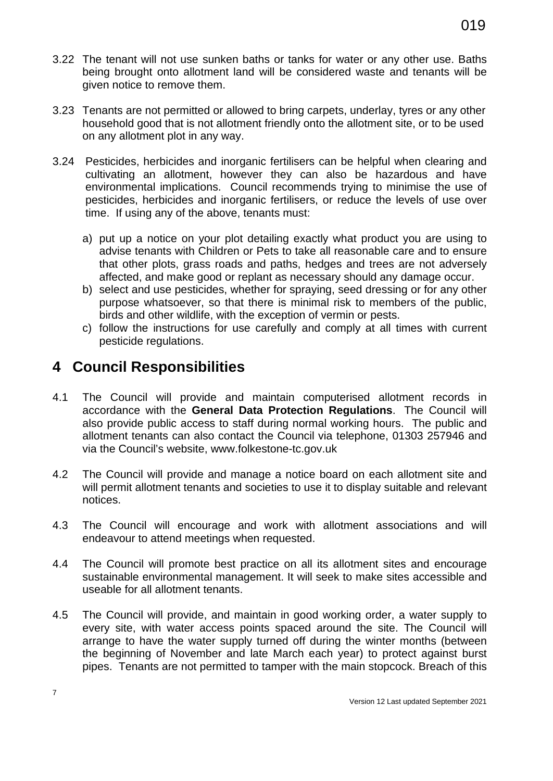- 3.22 The tenant will not use sunken baths or tanks for water or any other use. Baths being brought onto allotment land will be considered waste and tenants will be given notice to remove them.
- 3.23 Tenants are not permitted or allowed to bring carpets, underlay, tyres or any other household good that is not allotment friendly onto the allotment site, or to be used on any allotment plot in any way.
- 3.24 Pesticides, herbicides and inorganic fertilisers can be helpful when clearing and cultivating an allotment, however they can also be hazardous and have environmental implications. Council recommends trying to minimise the use of pesticides, herbicides and inorganic fertilisers, or reduce the levels of use over time. If using any of the above, tenants must:
	- a) put up a notice on your plot detailing exactly what product you are using to advise tenants with Children or Pets to take all reasonable care and to ensure that other plots, grass roads and paths, hedges and trees are not adversely affected, and make good or replant as necessary should any damage occur.
	- b) select and use pesticides, whether for spraying, seed dressing or for any other purpose whatsoever, so that there is minimal risk to members of the public, birds and other wildlife, with the exception of vermin or pests.
	- c) follow the instructions for use carefully and comply at all times with current pesticide regulations.

## <span id="page-18-0"></span>**4 Council Responsibilities**

- 4.1 The Council will provide and maintain computerised allotment records in accordance with the **General Data Protection Regulations**. The Council will also provide public access to staff during normal working hours. The public and allotment tenants can also contact the Council via telephone, 01303 257946 and via the Council's website, www.folkestone-tc.gov.uk
- 4.2 The Council will provide and manage a notice board on each allotment site and will permit allotment tenants and societies to use it to display suitable and relevant notices.
- 4.3 The Council will encourage and work with allotment associations and will endeavour to attend meetings when requested.
- 4.4 The Council will promote best practice on all its allotment sites and encourage sustainable environmental management. It will seek to make sites accessible and useable for all allotment tenants.
- 4.5 The Council will provide, and maintain in good working order, a water supply to every site, with water access points spaced around the site. The Council will arrange to have the water supply turned off during the winter months (between the beginning of November and late March each year) to protect against burst pipes. Tenants are not permitted to tamper with the main stopcock. Breach of this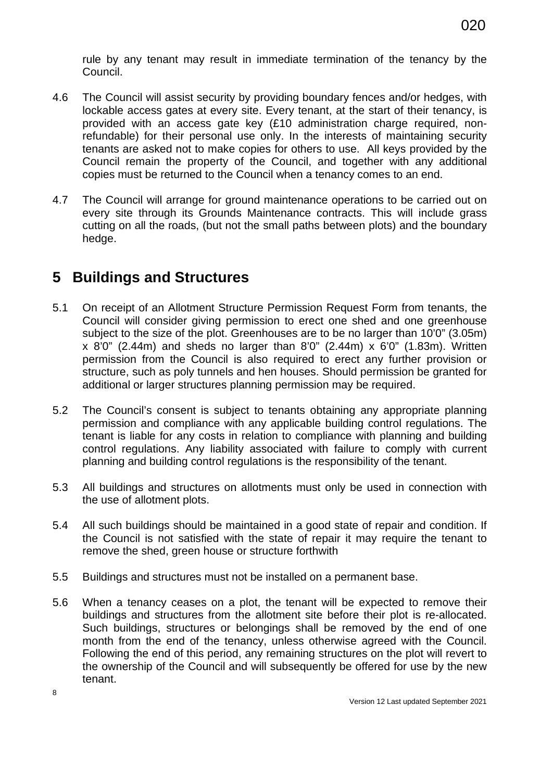rule by any tenant may result in immediate termination of the tenancy by the Council.

- 4.6 The Council will assist security by providing boundary fences and/or hedges, with lockable access gates at every site. Every tenant, at the start of their tenancy, is provided with an access gate key (£10 administration charge required, nonrefundable) for their personal use only. In the interests of maintaining security tenants are asked not to make copies for others to use. All keys provided by the Council remain the property of the Council, and together with any additional copies must be returned to the Council when a tenancy comes to an end.
- 4.7 The Council will arrange for ground maintenance operations to be carried out on every site through its Grounds Maintenance contracts. This will include grass cutting on all the roads, (but not the small paths between plots) and the boundary hedge.

## <span id="page-19-0"></span>**5 Buildings and Structures**

- 5.1 On receipt of an Allotment Structure Permission Request Form from tenants, the Council will consider giving permission to erect one shed and one greenhouse subject to the size of the plot. Greenhouses are to be no larger than 10'0" (3.05m) x 8'0" (2.44m) and sheds no larger than 8'0" (2.44m) x 6'0" (1.83m). Written permission from the Council is also required to erect any further provision or structure, such as poly tunnels and hen houses. Should permission be granted for additional or larger structures planning permission may be required.
- 5.2 The Council's consent is subject to tenants obtaining any appropriate planning permission and compliance with any applicable building control regulations. The tenant is liable for any costs in relation to compliance with planning and building control regulations. Any liability associated with failure to comply with current planning and building control regulations is the responsibility of the tenant.
- 5.3 All buildings and structures on allotments must only be used in connection with the use of allotment plots.
- 5.4 All such buildings should be maintained in a good state of repair and condition. If the Council is not satisfied with the state of repair it may require the tenant to remove the shed, green house or structure forthwith
- 5.5 Buildings and structures must not be installed on a permanent base.
- 5.6 When a tenancy ceases on a plot, the tenant will be expected to remove their buildings and structures from the allotment site before their plot is re-allocated. Such buildings, structures or belongings shall be removed by the end of one month from the end of the tenancy, unless otherwise agreed with the Council. Following the end of this period, any remaining structures on the plot will revert to the ownership of the Council and will subsequently be offered for use by the new tenant.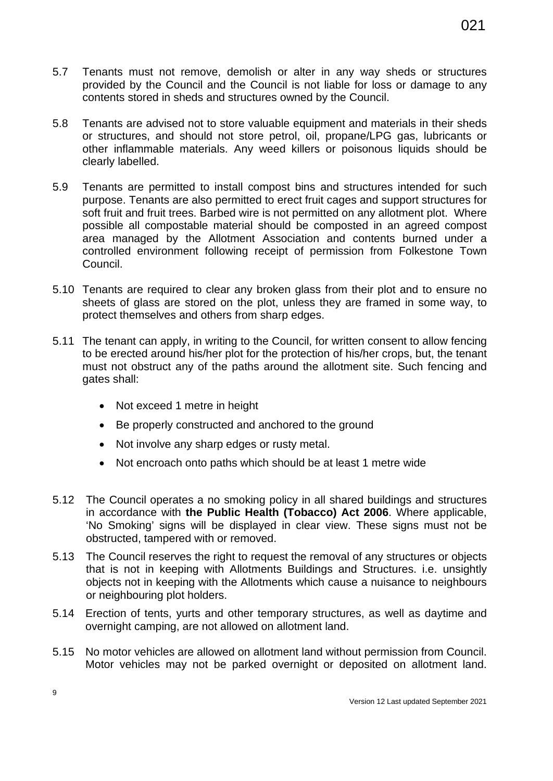- 5.7 Tenants must not remove, demolish or alter in any way sheds or structures provided by the Council and the Council is not liable for loss or damage to any contents stored in sheds and structures owned by the Council.
- 5.8 Tenants are advised not to store valuable equipment and materials in their sheds or structures, and should not store petrol, oil, propane/LPG gas, lubricants or other inflammable materials. Any weed killers or poisonous liquids should be clearly labelled.
- 5.9 Tenants are permitted to install compost bins and structures intended for such purpose. Tenants are also permitted to erect fruit cages and support structures for soft fruit and fruit trees. Barbed wire is not permitted on any allotment plot. Where possible all compostable material should be composted in an agreed compost area managed by the Allotment Association and contents burned under a controlled environment following receipt of permission from Folkestone Town Council.
- 5.10 Tenants are required to clear any broken glass from their plot and to ensure no sheets of glass are stored on the plot, unless they are framed in some way, to protect themselves and others from sharp edges.
- 5.11 The tenant can apply, in writing to the Council, for written consent to allow fencing to be erected around his/her plot for the protection of his/her crops, but, the tenant must not obstruct any of the paths around the allotment site. Such fencing and gates shall:
	- Not exceed 1 metre in height
	- Be properly constructed and anchored to the ground
	- Not involve any sharp edges or rusty metal.
	- Not encroach onto paths which should be at least 1 metre wide
- 5.12 The Council operates a no smoking policy in all shared buildings and structures in accordance with **the Public Health (Tobacco) Act 2006**. Where applicable, 'No Smoking' signs will be displayed in clear view. These signs must not be obstructed, tampered with or removed.
- 5.13 The Council reserves the right to request the removal of any structures or objects that is not in keeping with Allotments Buildings and Structures. i.e. unsightly objects not in keeping with the Allotments which cause a nuisance to neighbours or neighbouring plot holders.
- 5.14 Erection of tents, yurts and other temporary structures, as well as daytime and overnight camping, are not allowed on allotment land.
- 5.15 No motor vehicles are allowed on allotment land without permission from Council. Motor vehicles may not be parked overnight or deposited on allotment land.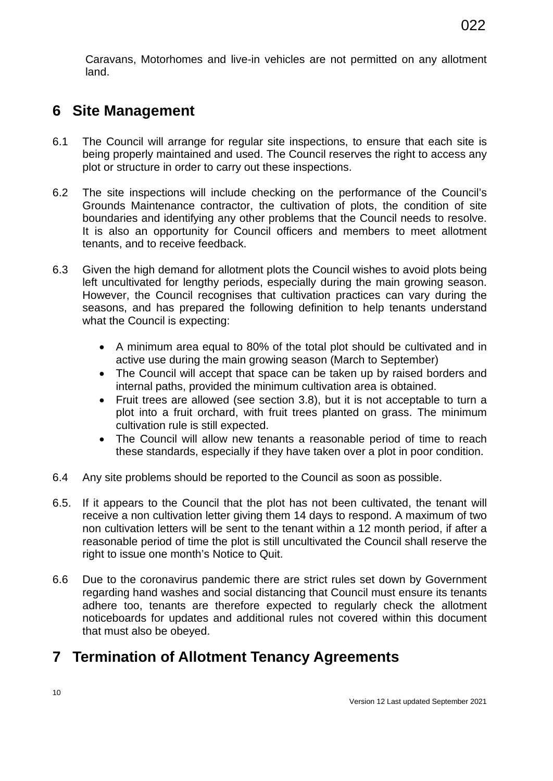Caravans, Motorhomes and live-in vehicles are not permitted on any allotment land.

## <span id="page-21-0"></span>**6 Site Management**

- 6.1 The Council will arrange for regular site inspections, to ensure that each site is being properly maintained and used. The Council reserves the right to access any plot or structure in order to carry out these inspections.
- 6.2 The site inspections will include checking on the performance of the Council's Grounds Maintenance contractor, the cultivation of plots, the condition of site boundaries and identifying any other problems that the Council needs to resolve. It is also an opportunity for Council officers and members to meet allotment tenants, and to receive feedback.
- 6.3 Given the high demand for allotment plots the Council wishes to avoid plots being left uncultivated for lengthy periods, especially during the main growing season. However, the Council recognises that cultivation practices can vary during the seasons, and has prepared the following definition to help tenants understand what the Council is expecting:
	- A minimum area equal to 80% of the total plot should be cultivated and in active use during the main growing season (March to September)
	- The Council will accept that space can be taken up by raised borders and internal paths, provided the minimum cultivation area is obtained.
	- Fruit trees are allowed (see section 3.8), but it is not acceptable to turn a plot into a fruit orchard, with fruit trees planted on grass. The minimum cultivation rule is still expected.
	- The Council will allow new tenants a reasonable period of time to reach these standards, especially if they have taken over a plot in poor condition.
- 6.4 Any site problems should be reported to the Council as soon as possible.
- 6.5. If it appears to the Council that the plot has not been cultivated, the tenant will receive a non cultivation letter giving them 14 days to respond. A maximum of two non cultivation letters will be sent to the tenant within a 12 month period, if after a reasonable period of time the plot is still uncultivated the Council shall reserve the right to issue one month's Notice to Quit.
- 6.6 Due to the coronavirus pandemic there are strict rules set down by Government regarding hand washes and social distancing that Council must ensure its tenants adhere too, tenants are therefore expected to regularly check the allotment noticeboards for updates and additional rules not covered within this document that must also be obeyed.

## <span id="page-21-1"></span>**7 Termination of Allotment Tenancy Agreements**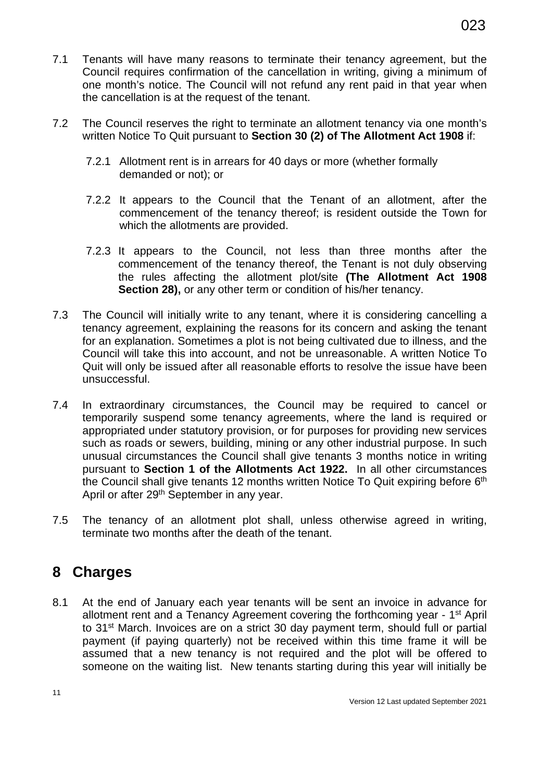- 7.1 Tenants will have many reasons to terminate their tenancy agreement, but the Council requires confirmation of the cancellation in writing, giving a minimum of one month's notice. The Council will not refund any rent paid in that year when the cancellation is at the request of the tenant.
- 7.2 The Council reserves the right to terminate an allotment tenancy via one month's written Notice To Quit pursuant to **Section 30 (2) of The Allotment Act 1908** if:
	- 7.2.1 Allotment rent is in arrears for 40 days or more (whether formally demanded or not); or
	- 7.2.2 It appears to the Council that the Tenant of an allotment, after the commencement of the tenancy thereof; is resident outside the Town for which the allotments are provided.
	- 7.2.3 It appears to the Council, not less than three months after the commencement of the tenancy thereof, the Tenant is not duly observing the rules affecting the allotment plot/site **(The Allotment Act 1908 Section 28),** or any other term or condition of his/her tenancy.
- 7.3 The Council will initially write to any tenant, where it is considering cancelling a tenancy agreement, explaining the reasons for its concern and asking the tenant for an explanation. Sometimes a plot is not being cultivated due to illness, and the Council will take this into account, and not be unreasonable. A written Notice To Quit will only be issued after all reasonable efforts to resolve the issue have been unsuccessful.
- 7.4 In extraordinary circumstances, the Council may be required to cancel or temporarily suspend some tenancy agreements, where the land is required or appropriated under statutory provision, or for purposes for providing new services such as roads or sewers, building, mining or any other industrial purpose. In such unusual circumstances the Council shall give tenants 3 months notice in writing pursuant to **Section 1 of the Allotments Act 1922.** In all other circumstances the Council shall give tenants 12 months written Notice To Quit expiring before 6<sup>th</sup> April or after 29<sup>th</sup> September in any year.
- 7.5 The tenancy of an allotment plot shall, unless otherwise agreed in writing, terminate two months after the death of the tenant.

## <span id="page-22-0"></span>**8 Charges**

8.1 At the end of January each year tenants will be sent an invoice in advance for allotment rent and a Tenancy Agreement covering the forthcoming year - 1st April to 31st March. Invoices are on a strict 30 day payment term, should full or partial payment (if paying quarterly) not be received within this time frame it will be assumed that a new tenancy is not required and the plot will be offered to someone on the waiting list. New tenants starting during this year will initially be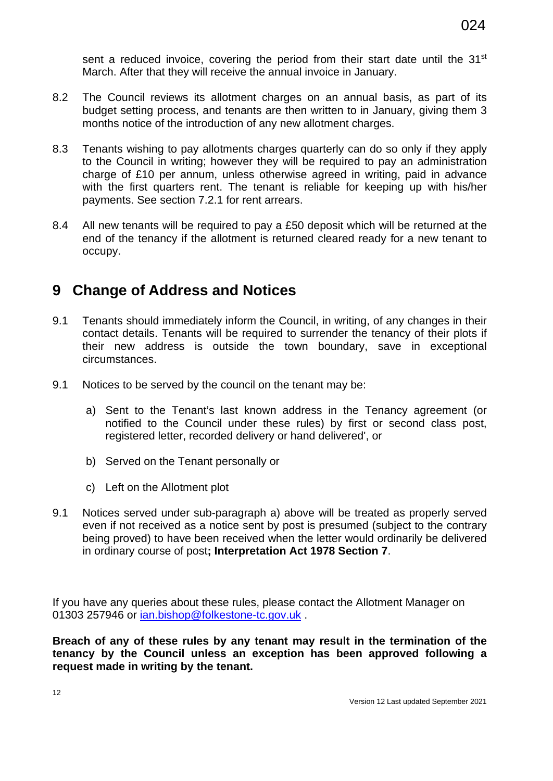sent a reduced invoice, covering the period from their start date until the 31<sup>st</sup> March. After that they will receive the annual invoice in January.

- 8.2 The Council reviews its allotment charges on an annual basis, as part of its budget setting process, and tenants are then written to in January, giving them 3 months notice of the introduction of any new allotment charges.
- 8.3 Tenants wishing to pay allotments charges quarterly can do so only if they apply to the Council in writing; however they will be required to pay an administration charge of £10 per annum, unless otherwise agreed in writing, paid in advance with the first quarters rent. The tenant is reliable for keeping up with his/her payments. See section 7.2.1 for rent arrears.
- 8.4 All new tenants will be required to pay a £50 deposit which will be returned at the end of the tenancy if the allotment is returned cleared ready for a new tenant to occupy.

## <span id="page-23-0"></span>**9 Change of Address and Notices**

- 9.1 Tenants should immediately inform the Council, in writing, of any changes in their contact details. Tenants will be required to surrender the tenancy of their plots if their new address is outside the town boundary, save in exceptional circumstances.
- 9.1 Notices to be served by the council on the tenant may be:
	- a) Sent to the Tenant's last known address in the Tenancy agreement (or notified to the Council under these rules) by first or second class post, registered letter, recorded delivery or hand delivered', or
	- b) Served on the Tenant personally or
	- c) Left on the Allotment plot
- 9.1 Notices served under sub-paragraph a) above will be treated as properly served even if not received as a notice sent by post is presumed (subject to the contrary being proved) to have been received when the letter would ordinarily be delivered in ordinary course of post**; Interpretation Act 1978 Section 7**.

If you have any queries about these rules, please contact the Allotment Manager on 01303 257946 or ian.bishop@folkestone-tc.gov.uk.

**Breach of any of these rules by any tenant may result in the termination of the tenancy by the Council unless an exception has been approved following a request made in writing by the tenant.**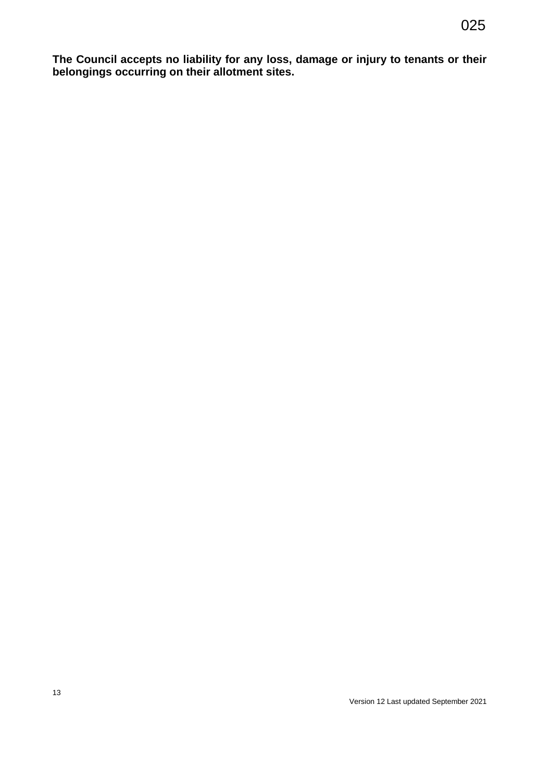**The Council accepts no liability for any loss, damage or injury to tenants or their belongings occurring on their allotment sites.**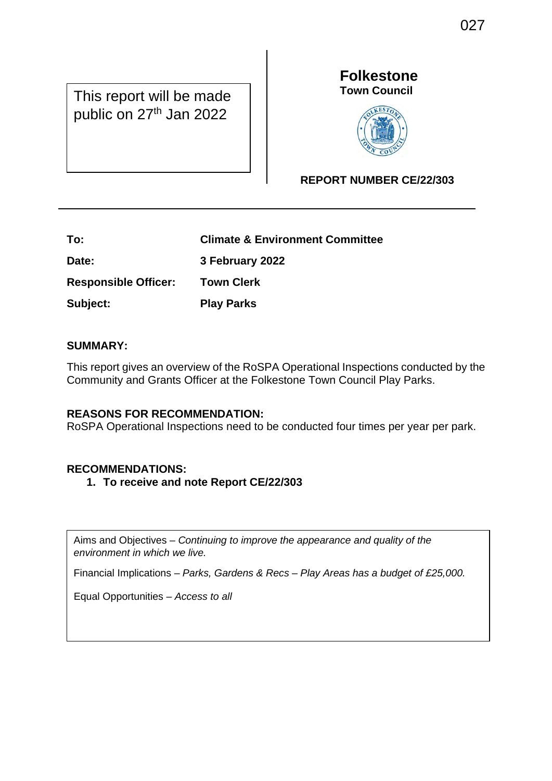This report will be made public on 27<sup>th</sup> Jan 2022

## **Folkestone Town Council**



## **REPORT NUMBER CE/22/303**

| To:                         | <b>Climate &amp; Environment Committee</b> |
|-----------------------------|--------------------------------------------|
| Date:                       | 3 February 2022                            |
| <b>Responsible Officer:</b> | <b>Town Clerk</b>                          |
| Subject:                    | <b>Play Parks</b>                          |

## **SUMMARY:**

 $\overline{\phantom{a}}$ 

This report gives an overview of the RoSPA Operational Inspections conducted by the Community and Grants Officer at the Folkestone Town Council Play Parks.

### **REASONS FOR RECOMMENDATION:**

RoSPA Operational Inspections need to be conducted four times per year per park.

## **RECOMMENDATIONS:**

**1. To receive and note Report CE/22/303**

Aims and Objectives – *Continuing to improve the appearance and quality of the environment in which we live.*

Financial Implications – *Parks, Gardens & Recs – Play Areas has a budget of £25,000.* 

Equal Opportunities – *Access to all*